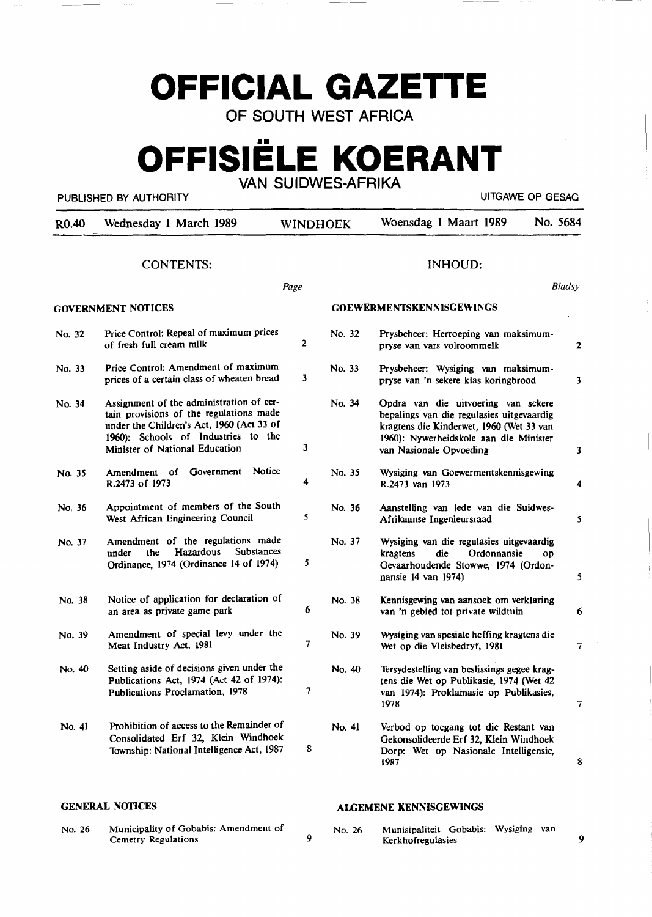# **OFFICIAL GAZETTE**

OF SOUTH WEST AFRICA

## **OFFISIELE KOERANT**  VAN SUIDWES-AFRIKA

PUBLISHED BY AUTHORITY **EXECUTE A SECURE 2018** UITGAWE OP GESAG

| R <sub>0.40</sub> | Wednesday 1 March 1989                                                                                                                                                                                    | WINDHOEK                |        | Woensdag 1 Maart 1989                                                                                                                                                                             | No. 5684                |
|-------------------|-----------------------------------------------------------------------------------------------------------------------------------------------------------------------------------------------------------|-------------------------|--------|---------------------------------------------------------------------------------------------------------------------------------------------------------------------------------------------------|-------------------------|
|                   | <b>CONTENTS:</b>                                                                                                                                                                                          |                         |        | <b>INHOUD:</b>                                                                                                                                                                                    |                         |
|                   |                                                                                                                                                                                                           | Page                    |        |                                                                                                                                                                                                   | <b>Bladsy</b>           |
|                   | <b>GOVERNMENT NOTICES</b>                                                                                                                                                                                 |                         |        | <b>GOEWERMENTSKENNISGEWINGS</b>                                                                                                                                                                   |                         |
| No. 32            | Price Control: Repeal of maximum prices<br>of fresh full cream milk                                                                                                                                       | $\overline{2}$          | No. 32 | Prysbeheer: Herroeping van maksimum-<br>pryse van vars volroommelk                                                                                                                                | 2                       |
| No. 33            | Price Control: Amendment of maximum<br>prices of a certain class of wheaten bread                                                                                                                         | 3                       | No. 33 | Prysbeheer: Wysiging van maksimum-<br>pryse van 'n sekere klas koringbrood                                                                                                                        | $\overline{\mathbf{3}}$ |
| No. 34            | Assignment of the administration of cer-<br>tain provisions of the regulations made<br>under the Children's Act, 1960 (Act 33 of<br>1960): Schools of Industries to the<br>Minister of National Education | $\overline{\mathbf{3}}$ | No. 34 | Opdra van die uitvoering van sekere<br>bepalings van die regulasies uitgevaardig<br>kragtens die Kinderwet, 1960 (Wet 33 van<br>1960): Nywerheidskole aan die Minister<br>van Nasionale Opvoeding | 3                       |
| No. 35            | Government Notice<br>Amendment of<br>R.2473 of 1973                                                                                                                                                       | 4                       | No. 35 | Wysiging van Goewermentskennisgewing<br>R.2473 van 1973                                                                                                                                           | 4                       |
| No. 36            | Appointment of members of the South<br>West African Engineering Council                                                                                                                                   | 5                       | No. 36 | Aanstelling van lede van die Suidwes-<br>Afrikaanse Ingenieursraad                                                                                                                                | 5                       |
| No. 37            | Amendment of the regulations made<br>Hazardous<br><b>Substances</b><br>under<br>the<br>Ordinance, 1974 (Ordinance 14 of 1974)                                                                             | 5                       | No. 37 | Wysiging van die regulasies uitgevaardig<br>kragtens<br>die<br>Ordonnansie<br>OD<br>Gevaarhoudende Stowwe, 1974 (Ordon-<br>nansie 14 van 1974)                                                    | 5                       |
| No. 38            | Notice of application for declaration of<br>an area as private game park                                                                                                                                  | 6                       | No. 38 | Kennisgewing van aansoek om verklaring<br>van 'n gebied tot private wildtuin                                                                                                                      | 6                       |
| No. 39            | Amendment of special levy under the<br>Meat Industry Act, 1981                                                                                                                                            | $\overline{7}$          | No. 39 | Wysiging van spesiale heffing kragtens die<br>Wet op die Vleisbedryf, 1981                                                                                                                        | 7                       |
| No. 40            | Setting aside of decisions given under the<br>Publications Act, 1974 (Act 42 of 1974):<br>Publications Proclamation, 1978                                                                                 | 7                       | No. 40 | Tersydestelling van beslissings gegee krag-<br>tens die Wet op Publikasie, 1974 (Wet 42<br>van 1974): Proklamasie op Publikasies,<br>1978                                                         | 7                       |
| No. 41            | Prohibition of access to the Remainder of<br>Consolidated Erf 32, Klein Windhoek<br>Township: National Intelligence Act, 1987                                                                             | 8                       | No. 41 | Verbod op toegang tot die Restant van<br>Gekonsolideerde Erf 32, Klein Windhoek<br>Dorp: Wet op Nasionale Intelligensie,<br>1987                                                                  | 8                       |

9

#### **GENERAL NOTICES**

No. 26 Municipality of Gobabis: Amendment of Cemetry Regulations

**Al.GEMENE KENNISGEWINGS** 

No. 26 Munisipaliteit Gobabis: Wysiging van Kerkhofregulasies

9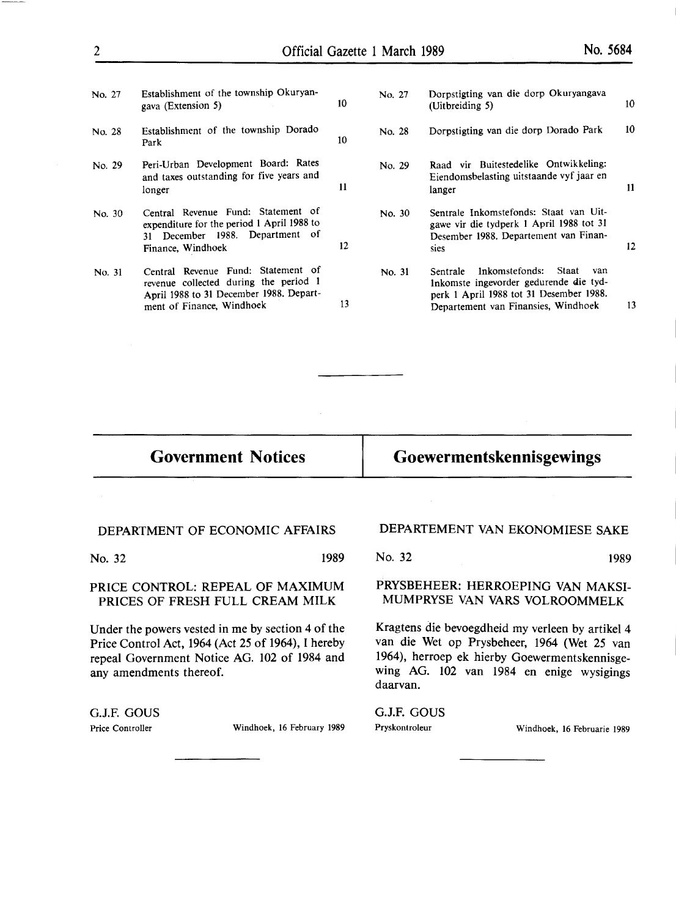- No. 27 Establishment of the township Okuryangava (Extension 5) 10
- No. 28 Establishment of the township Dorado Park 10
- No. 29 Peri-Urban Development Board: Rates and taxes outstanding for five years and longer 11
- No. 30 Central Revenue Fund: Statement of expenditure for the period 1 April 1988 to 31 December 1988. Department of Finance, Windhoek 12
- No. 31 Central Revenue Fund: Statement of revenue collected during the period I April 1988 to 31 December 1988. Department of Finance, Windhoek 13

| No. 27 | Dorpstigting van die dorp Okuryangava<br>(Uitbreiding 5)                                                                                                               | 10. |
|--------|------------------------------------------------------------------------------------------------------------------------------------------------------------------------|-----|
| No. 28 | Dorpstigting van die dorp Dorado Park                                                                                                                                  | 10  |
| No. 29 | Raad vir Buitestedelike Ontwikkeling:<br>Eiendomsbelasting uitstaande vyf jaar en<br>langer                                                                            | 11  |
| No. 30 | Sentrale Inkomstefonds: Staat van Uit-<br>gawe vir die tydperk 1 April 1988 tot 31<br>Desember 1988. Departement van Finan-<br>sies                                    | 12  |
| No. 31 | Inkomstefonds:<br>Staat<br>van<br>Sentrale<br>Inkomste ingevorder gedurende die tyd-<br>perk 1 April 1988 tot 31 Desember 1988.<br>Departement van Finansies, Windhoek | 13  |
|        |                                                                                                                                                                        |     |

### **Government Notices**

## **Goewermentskennisgewings**

#### DEPARTMENT OF ECONOMIC AFFAIRS

No. 32 1989

#### PRICE CONTROL: REPEAL OF MAXIMUM PRICES OF FRESH FULL CREAM MILK

Under the powers vested in me by section 4 of the Price Control Act, 1964 (Act 25 of 1964), I hereby repeal Government Notice AG. 102 of 1984 and any amendments thereof.

G.J.F. GOUS

Price Controller Windhoek, 16 February 1989

#### DEPARTEMENT VAN EKONOMIESE SAKE

No. 32 1989

#### PRYSBEHEER: HERROEPING VAN MAKSI-MUMPRYSE VAN VARS VOLROOMMELK

Kragtens die bevoegdheid my verleen by artikel 4 van die Wet op Prysbeheer, 1964 (Wet 25 van 1964), herroep ek hierby Goewermentskennisgewing AG. 102 van 1984 en enige wysigings daarvan.

G.J.F. GOUS

Pryskontroleur Windhoek, 16 Februarie 1989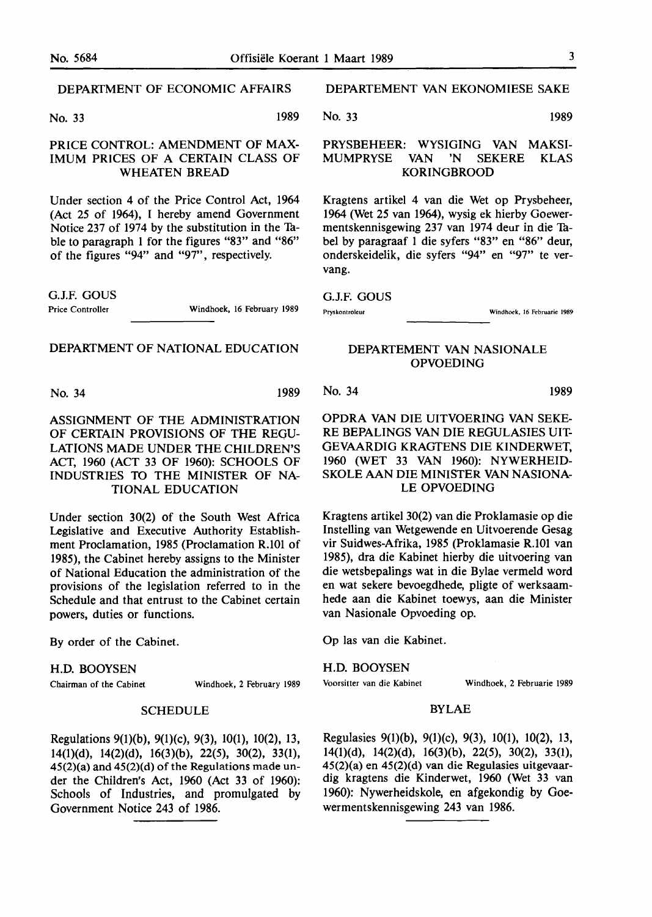No. 33 1989

#### PRICE CONTROL: AMENDMENT OF MAX-IMUM PRICES OF A CERTAIN CLASS OF WHEATEN BREAD

Under section 4 of the Price Control Act, 1964 (Act 25 of 1964), I hereby amend Government Notice 237 of 1974 by the substitution in the Tuble to paragraph 1 for the figures "83" and **"86"**  of the figures "94" and "97", respectively.

G.J.F. GOUS

Windhoek, 16 February 1989

#### DEPARTMENT OF NATIONAL EDUCATION

No. 34 1989

#### ASSIGNMENT OF THE ADMINISTRATION OF CERTAIN PROVISIONS OF THE REGU-LATIONS MADE UNDER THE CHILDREN'S ACT, 1960 (ACT 33 OF 1960): SCHOOLS OF INDUSTRIES TO THE MINISTER OF NA-TIONAL EDUCATION

Under section 30(2) of the South West Africa Legislative and Executive Authority Establishment Proclamation, 1985 (Proclamation R.101 of 1985), the Cabinet hereby assigns to the Minister of National Education the administration of the provisions of the legislation referred to in the Schedule and that entrust to the Cabinet certain powers, duties or functions.

By order of the Cabinet.

#### H.D. BOOYSEN

Chairman of the Cabinet Windhoek, 2 February 1989

#### **SCHEDULE**

Regulations 9(1)(b), 9(1)(c), 9(3), 10(1), 10(2), 13, 14(l)(d), 14(2)(d), 16(3)(b), 22(5), 30(2), 33(1), 45(2)(a) and 45(2)(d) of the Regulations made under the Children's Act, 1960 (Act **33** of 1960): Schools of Industries, and promulgated by Government Notice 243 of **1986.** 

#### **DEPARTEMENT VAN EKONOMIESE SAKE**

No. 33 **1989** 

#### **PRYSBEHEER: WYSIGING VAN MAKSI-MUMPRYSE VAN 'N SEKERE KLAS KORINGBROOD**

Kragtens artikel 4 van die Wet op Prysbeheer, 1964 (Wet 25 van 1964), wysig ek hierby Goewermentskennisgewing 237 van 1974 deur in die Tubel by paragraaf 1 die syfers "83" en "86" deur, onderskeidelik, die syfers "94" en "97" te vervang.

#### G.J.F. GOUS

Pryskontroleur Windhoek, 16 Februarie 1989

#### DEPARTEMENT VAN NASIONALE OPVOEDING

No. 34 1989

OPDRA VAN DIE UITVOERING VAN SEKE-RE BEPALINGS VAN DIE REGULASIES UIT-GEVAARDIG KRAGTENS DIE KINDERWET, 1960 (WET 33 VAN 1960): NYWERHEID-SKOLE AAN DIE MINISTER VAN NASIONA-LE OPVOEDING

Kragtens artikel 30(2) van die Proklamasie op die Instelling van Wetgewende en Uitvoerende Gesag vir Suidwes-Afrika, 1985 (Proklamasie R.101 van 1985), dra die Kabinet hierby die uitvoering van die wetsbepalings wat in die Bylae vermeld word en wat sekere bevoegdhede, pligte of werksaamhede aan die Kabinet toewys, aan die Minister van Nasionale Opvoeding op.

Op las van die Kabinet.

#### H.D. BOOYSEN

Voorsitter van die Kabinet Windhoek, 2 Februarie 1989

#### BYLAE

Regulasies 9(1)(b), 9(1)(c), 9(3), 10(1), 10(2), 13, 14(l)(d), 14(2)(d), 16(3)(b), 22(5), 30(2), 33(1), 45(2)(a) en 45(2)(d) van die Regulasies uitgevaardig kragtens die Kinderwet, 1960 (Wet 33 van 1960): Nywerheidskole, en afgekondig by Goewermentskennisgewing 243 van 1986.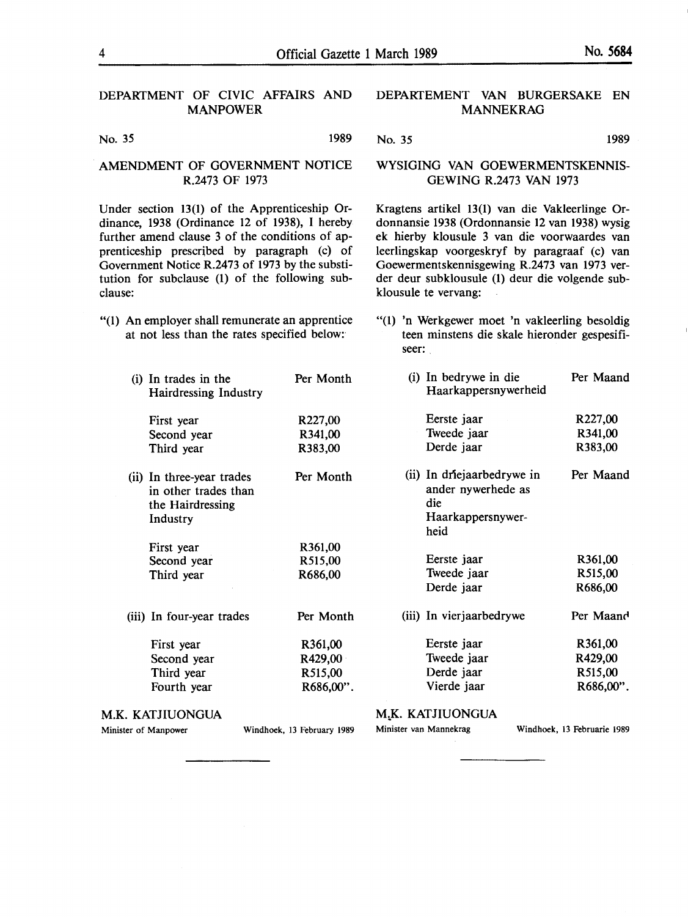#### DEPARTMENT OF CIVIC AFFAIRS AND MANPOWER

No. 35 1989

#### AMENDMENT OF GOVERNMENT NOTICE R.2473 OF 1973

Under section 13(1) of the Apprenticeship Ordinance, 1938 (Ordinance 12 of 1938), I hereby further amend clause 3 of the conditions of apprenticeship prescribed by paragraph (c) of Government Notice R.2473 of 1973 by the substitution for subclause **(1)** of the following subclause:

- "(1) An employer shall remunerate an apprentice at not less than the rates specified below:
	- (i) In trades in the Per Month Hairdressing Industry
		- First year R227,00 Second year **R341,00**  Third year **R383,00**
	- (ii) In three-year trades Per Month in other trades than the Hairdressing Industry
		- First year R361,00<br>Second year R515,00 Second year Third year R686,00
	- (iii) In four-year trades Per Month

| First year  | R361,00   |
|-------------|-----------|
| Second year | R429,00   |
| Third year  | R515,00   |
| Fourth year | R686,00". |

#### M.K. KATJIUONGUA

Minister of Manpower Windhoek, 13 February 1989

## M.K. KATJIUONGUA

heid

Minister van Mannekrag Windhoek, 13 Februarie 1989

Eerste jaar **R227,00**  Tweede jaar **R341,00** Derde jaar **R383,00**  (ii) In driejaarbedrywe in Per Maand ander nywerhede as die Haarkappersnywer-

> Eerste jaar **R361,00**  Tweede jaar **R515,00**  Derde jaar **R686,00**

(iii) In vierjaarbedrywe Per Maand

Eerste jaar **R361,00**  Tweede jaar **R429,00**  Derde jaar R515,00 Vierde jaar **R686,00".** 

Goewermentskennisgewing R.2473 van 1973 verder deur subklousule (1) deur die volgende subklousule te vervang:

Haarkappersnywerheid

"(1) 'n Werkgewer moet 'n vakleerling besoldig teen minstens die skale hieronder gespesifiseer:

(i) In bedrywe in die Per Maand

No. 35 1989

**DEPARfEMENT VAN BURGERSAKE EN MANNEKRAG** 

WYSIGING VAN GOEWERMENTSKENNIS-GEWING R.2473 VAN 1973

Kragtens artikel 13(1) van die Vakleerlinge Ordonnansie 1938 (Ordonnansie 12 van 1938) wysig ek hierby klousule 3 van die voorwaardes van leerlingskap voorgeskryf by paragraaf (c) van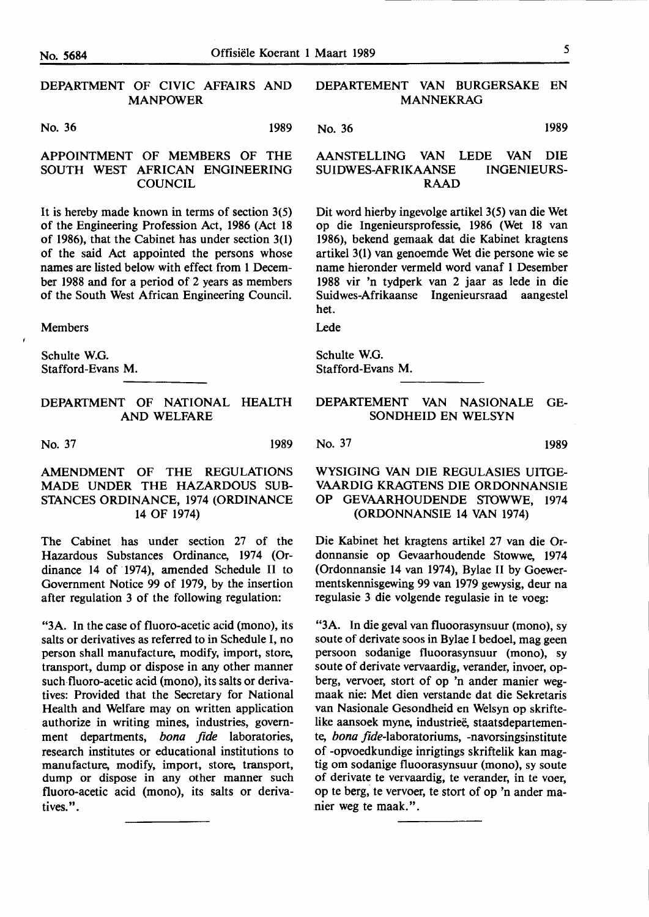#### DEPARTMENT OF CIVIC AFFAIRS AND MANPOWER

#### No. 36 **1989**

#### APPOINTMENT OF MEMBERS OF THE SOUTH WEST **AFRICAN** ENGINEERING **COUNCIL**

It is hereby made known in terms of section 3(5) of the Engineering Profession Act, 1986 (Act 18 of 1986), that the Cabinet has under section 3(1) of the said Act appointed the persons whose names are listed below with effect from 1 December 1988 and for a period of 2 years as members of the South West African Engineering Council.

Members

Schulte W.G. Stafford-Evans M.

#### DEPARTMENT OF NATIONAL HEALTH AND WELFARE

No. 37 1989

#### AMENDMENT OF THE REGULATIONS MADE UNDER THE HAZARDOUS SUB-STANCES ORDINANCE, 1974 (ORDINANCE 14 OF 1974)

The Cabinet has under section 27 of the Hazardous Substances Ordinance, 1974 (Ordinance 14 of 1974), amended Schedule II to Government Notice 99 of 1979, by the insertion after regulation 3 of the following regulation:

"3A. In the case of fluoro-acetic acid (mono), its salts or derivatives as referred to in Schedule I, no person shall manufacture, modify, import, store, transport, dump or dispose in any other manner such fluoro-acetic acid (mono), its salts or derivatives: Provided that the Secretary for National Health and Welfare may on written application authorize in writing mines, industries, government departments, *bona fide* laboratories, research institutes or educational institutions to manufacture, modify, import, store, transport, dump or dispose in any other manner such fluoro-acetic acid (mono), its salts or derivatives.".

#### DEPARTEMENT VAN BURGERSAKE EN MANNEKRAG

No. 36 **1989** 

#### AANSTELLING VAN LEDE VAN DIE **SUIDWES-AFRIKAANSE INGENIEURS-RAAD**

Dit word hierby ingevolge artikel 3(5) van die Wet op die Ingenieursprofessie, 1986 (Wet 18 van 1986), bekend gemaak dat die Kabinet kragtens artikel 3(1) van genoemde Wet die persone wie se name hieronder vermeld word vanaf 1 Desember 1988 vir 'n tydperk van 2 jaar as lede in die Suidwes-Afrikaanse lngenieursraad aangestel het.

Lede

Schulte W.G. Stafford-Evans M.

#### DEPARTEMENT VAN NASIONALE GE-SONDHEID EN WELSYN

No. 37 1989

### WYSIGING VAN DIE REGULASIES UITGE-VAARDIG KRAGTENS DIE ORDONNANSIE OP GEVAARHOUDENDE STOWWE, 1974 (ORDONNANSIE 14 VAN 1974)

Die Kabinet bet kragtens artikel 27 van die Ordonnansie op Gevaarhoudende Stowwe, 1974 (Ordonnansie 14 van 1974), Bylae II by Goewermentskennisgewing 99 van 1979 gewysig, deur na regulasie 3 die volgende regulasie in te voeg:

"3A. In die geval van fluoorasynsuur (mono), sy soute of derivate soos in Bylae I bedoel, mag geen persoon sodanige fluoorasynsuur (mono), sy soute of derivate vervaardig, verander, invoer, opberg, vervoer, stort of op 'n ander manier wegmaak nie: Met dien verstande dat die Sekretaris van Nasionale Gesondheid en Welsyn op skriftelike aansoek myne, industrieë, staatsdepartemente, *bona* fide-laboratoriums, -navorsingsinstitute of -opvoedkundige inrigtings skriftelik kan magtig om sodanige fluoorasynsuur (mono), sy soute of derivate te vervaardig, te verander, in te voer, op te berg, te vervoer, te stort of op 'n antler manier weg te maak.".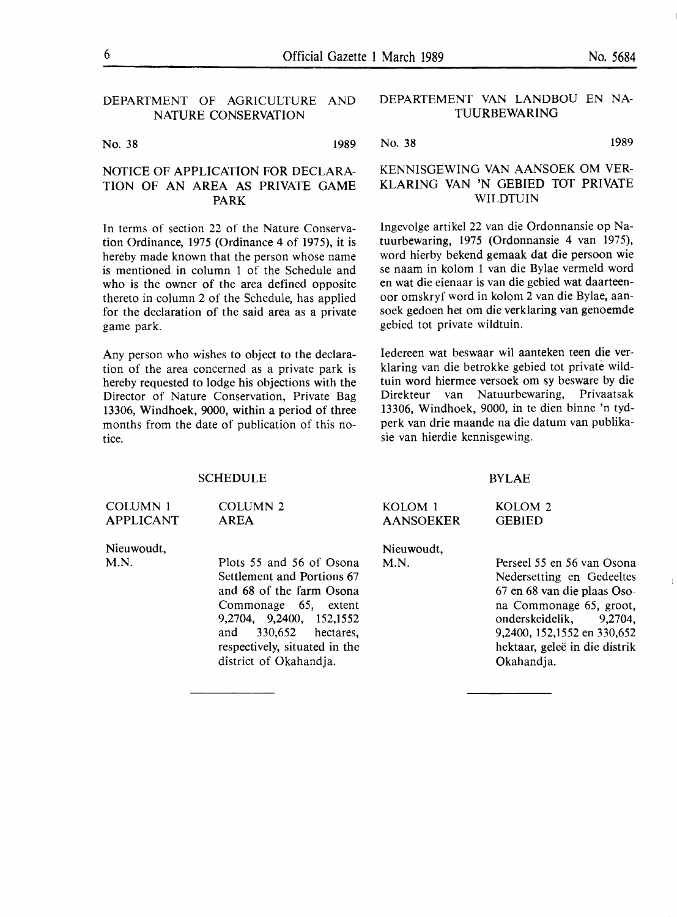### DEPARTMENT OF AGRICULTURE AND NATURE CONSERVATION

No. 38 1989

#### NOTICE OF APPLICATION FOR DECLARA-TION OF AN AREA AS PRIVATE GAME **PARK**

In terms of section 22 of the Nature Conservation Ordinance, 1975 (Ordinance 4 of 1975), it is hereby made known that the person whose name is mentioned in column 1 of the Schedule and who is the owner of the area defined opposite thereto in column 2 of the Schedule, has applied for the declaration of the said area as a private game park.

Any person who wishes to object to the declaration of the area concerned as a private park is hereby requested to lodge his objections with the Director of Nature Conservation, Private Bag 13306, Windhoek, 9000, within a period of three months from the date of publication of this notice.

SCHEDULE

#### **DEPARTEMENT VAN LANDBOU EN NA-TUURBEWARING**

No. 38 1989

### KENNISGEWING VAN AANSOEK OM VER-KLARING VAN 'N GEBIED TOT PRIVATE **WILDTUIN**

Ingevolge artikel 22 van die Ordonnansie op Natuurbewaring, 1975 (Ordonnansie 4 van 1975), word hierby bekend gemaak dat die persoon wie se naam in kolom 1 van die Bylae vermeld word en wat die eienaar is van die gebied wat daarteenoor omskryf word in kolom 2 van die Bylae, aansoek gedoen het om die verklaring van genoemde gebied tot private wildtuin.

Iedereen wat beswaar wil aanteken teen die verklaring van die betrokke gebied tot private wildtuin word hiermee versoek om sy besware by die Direkteur van Natuurbewaring, Privaatsak 13306, Windhoek, 9000, in te dien binne 'n tydperk van drie maande na die datum van publikasie van hierdie kennisgewing.

#### BYLAE

#### **COLUMN 1** APPLICANT Nieuwoudt, **M.N.**  COLUMN 2 AREA Plots 55 and 56 of Osona Settlement and Portions 67 and 68 of the farm Osona Commonage 65, extent 9,2704, 9,2400, 152,1552 and 330,652 hectares, **KOLOM** 1 AANSOEKER Nieuwoudt, **M.N. KOLOM** 2 GEBIED Perseel *55* en 56 van Osona Nedersetting en Gedeeltes 67 en 68 van die plaas Osona Commonage 65, groot, onderskeidelik, 9,2704, 9,2400, 152,1552 en 330,652

hektaar, gelee in die distrik Okahandja.

respectively, situated in the district of Okahandja.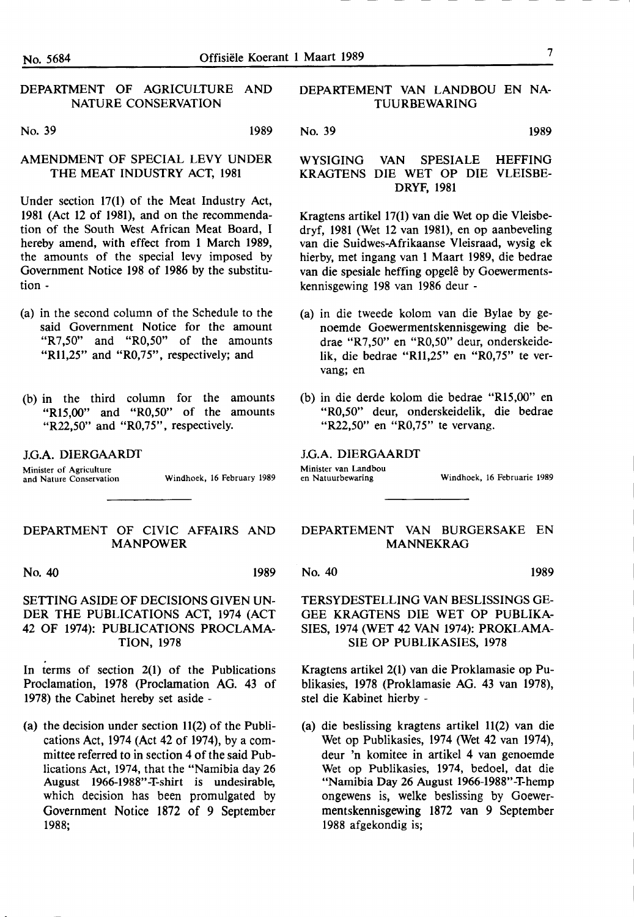#### DEPARTMENT OF AGRICULTURE AND NATURE CONSERVATION

### No. 39 1989

#### AMENDMENT OF SPECIAL LEVY UNDER THE MEAT INDUSTRY ACT, 1981

Under section 17(1) of the Meat Industry Act, 1981 (Act 12 of 1981), and on the recommendation of the South West African Meat Board, I hereby amend, with effect from 1 March 1989, the amounts of the special levy imposed by Government Notice 198 of 1986 by the substitution -

- (a) in the second column of the Schedule to the said Government Notice for the amount "R7,50" and "R0,50" of the amounts "R11,25" and "R0,75", respectively; and
- (b) in the third column for the amounts "R15,00" and "R0,50" of the amounts "R22,50" and "R0,75", respectively.

J.G.A. DIERGAARDT

Minister of Agriculture

and Nature Conservation Windhoek, 16 February 1989

#### DEPARTMENT OF CIVIC AFFAIRS AND MANPOWER

No. 40 1989

#### SETTING ASIDE OF DECISIONS GIVEN UN-DER THE PUBLICATIONS ACT, 1974 (ACT 42 OF 1974): PUBLICATIONS PROCLAMA-TION, 1978

In terms of section 2(1) of the Publications Proclamation, 1978 (Proclamation AG. 43 of 1978) the Cabinet hereby set aside -

(a) the decision under section 11(2) of the Publications Act, 1974 (Act 42 of 1974), by a committee referred to in section 4 of the said Publications Act, 1974, that the "Namibia day 26 August 1966-1988"-T-shirt is undesirable, which decision has been promulgated by Government Notice 1872 of 9 September **1988;** 

#### DEPARTEMENT VAN LANDBOU EN NA-TUURBEWARING

No. 39 **1989** 

#### WYSIGING VAN SPESIALE HEFFING KRAGTENS DIE WET OP DIE VLEISBE-DRYF, 1981

Kragtens artikel 17(1) van die Wet op die Vleisbedryf, 1981 (Wet 12 van 1981), en op aanbeveling van die Suidwes-Afrikaanse Vleisraad, wysig ek hierby, met ingang van 1 Maart 1989, die bedrae van die spesiale heffing opgelê by Goewermentskennisgewing 198 van 1986 deur -

- (a) in die tweede kolom van die Bylae by genoemde Goewermentskennisgewing die bedrae "R7,50" en "R0,50" deur, onderskeidelik, die bedrae "Rll,25" en "R0,75" te vervang; en
- (b) in die derde kolom die bedrae "Rl5,00" en "R0,50" deur, onderskeidelik, die bedrae "R22,50" en "R0,75" te vervang.

#### J.G.A. DIERGAARDT

Minister van Landbou<br>en Natuurbewaring

Windhoek, 16 Februarie 1989

#### **DEPARTEMENT VAN BURGERSAKE EN MANNEKRAG**

No. 40 1989

TERSYDESTELLING VAN BESLISSINGS GE-GEE KRAGTENS DIE WET OP PUBLIKA-SIES, 1974 (WET 42 VAN 1974): PROKLAMA-SIE OP PUBLIKASIES, 1978

Kragtens artikel 2(1) van die Proklamasie op Publikasies, 1978 (Proklamasie AG. 43 van 1978), stel die Kabinet hierby -

(a) die beslissing kragtens artikel 11(2) van die Wet op Publikasies, 1974 (Wet 42 van 1974), deur 'n komitee in artikel 4 van genoemde Wet op Publikasies, 1974, bedoel, dat die "Namibia Day 26 August 1966-1988"-T-hemp ongewens is, welke beslissing by Goewermentskennisgewing 1872 van 9 September 1988 afgekondig is;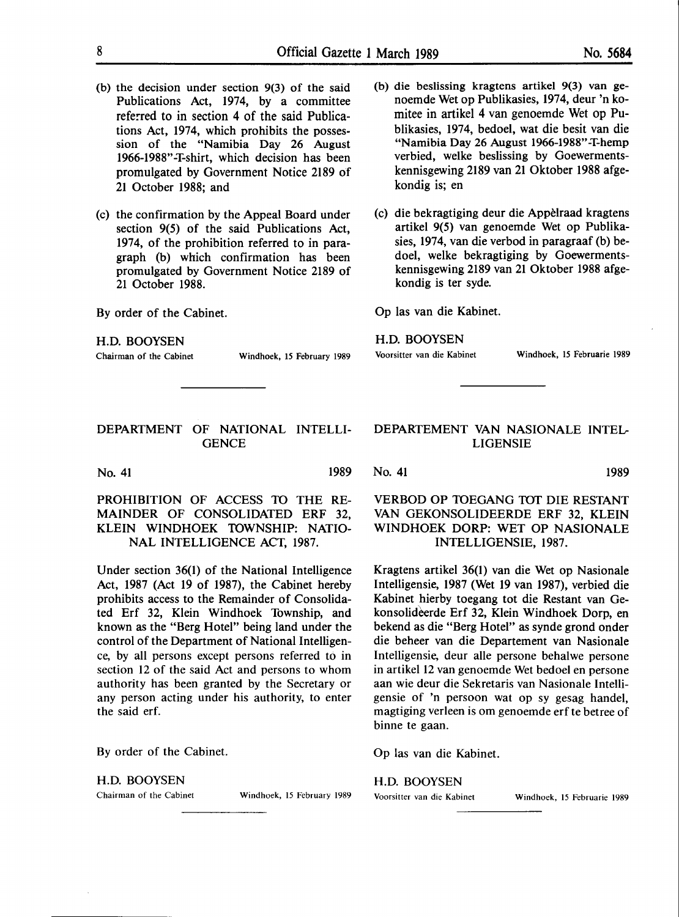- (b) the decision under section 9(3) of the said Publications Act, 1974, by a committee referred to in section 4 of the said Publications Act, 1974, which prohibits the possession of the "Namibia Day 26 August 1966-1988"-T-shirt, which decision has been promulgated by Government Notice 2189 of 21 October 1988; and
- (c) the confirmation by the Appeal Board under section 9(5) of the said Publications Act, 1974, of the prohibition referred to in paragraph (b) which confirmation has been promulgated by Government Notice 2189 of 21 October 1988.

By order of the Cabinet.

H.D. BOOYSEN

Chairman of the Cabinet Windhoek, 15 February 1989

DEPARTMENT OF NATIONAL INTELLI-**GENCE** 

No. 41 1989

PROHIBITION OF ACCESS TO THE RE-MAINDER OF CONSOLIDATED ERF 32, KLEIN WINDHOEK TOWNSHIP: NATIO-NAL INTELLIGENCE ACT, 1987.

Under section 36(1) of the National Intelligence Act, 1987 (Act 19 of 1987), the Cabinet hereby prohibits access to the Remainder of Consolidated Erf 32, Klein Windhoek Township, and known as the "Berg Hotel" being land under the control of the Department of National Intelligence, by all persons except persons referred to in section 12 of the said Act and persons to whom authority has been granted by the Secretary or any person acting under his authority, to enter the said erf.

By order of the Cabinet.

H.D. BOOYSEN

Chairman of the Cabinet Windhoek, 15 February 1989

- (b) die beslissing kragtens artikel 9(3) van genoemde Wet op Publikasies, 1974, deur 'n komitee in artikel 4 van genoemde Wet op Publikasies, 1974, bedoel, wat die besit van die "Namibia Day 26 August 1966-1988"-T-hemp verbied, welke beslissing by Goewermentskennisgewing 2189 van 21 Oktober 1988 afgekondig is; en
- (c) die bekragtiging deur die Appelraad kragtens artikel 9(5) van genoemde Wet op Publikasies, 1974, van die verbod in paragraaf (b) bedoel, welke bekragtiging by Goewermentskennisgewing 2189 van 21 Oktober 1988 afgekondig is ter syde.

Op las van die Kabinet.

#### H.D. BOOYSEN

Voorsitter van die Kabinet Windhoek, 15 Februarie 1989

#### DEPARTEMENT VAN NASIONALE INTEL-LIGENSIE

No. 41 1989

VERBOD OP 10EGANG 10T DIE RESTANT VAN GEKONSOLIDEERDE ERF 32, KLEIN WINDHOEK DORP: WET OP NASIONALE INTELLIGENSIE, 1987.

Kragtens artikel 36(1) van die Wet op Nasionale Intelligensie, 1987 (Wet 19 van 1987), verbied die Kabinet hierby toegang tot die Restant van Gekonsolideerde Erf 32, Klein Windhoek Dorp, en bekend as die "Berg Hotel" as synde grond onder die beheer van die Departement van Nasionale Intelligensie, deur alle persone behalwe persone in artikel 12 van genoemde Wet bedoel en persone aan wie deur die Sekretaris van Nasionale Intelligensie of 'n persoon wat op sy gesag handel, magtiging verleen is om genoemde erf te betree of binne te gaan.

Op las van die Kabinet.

H.D. BOOYSEN

Voorsitter van die Kabinet Windhoek, 15 Februarie 1989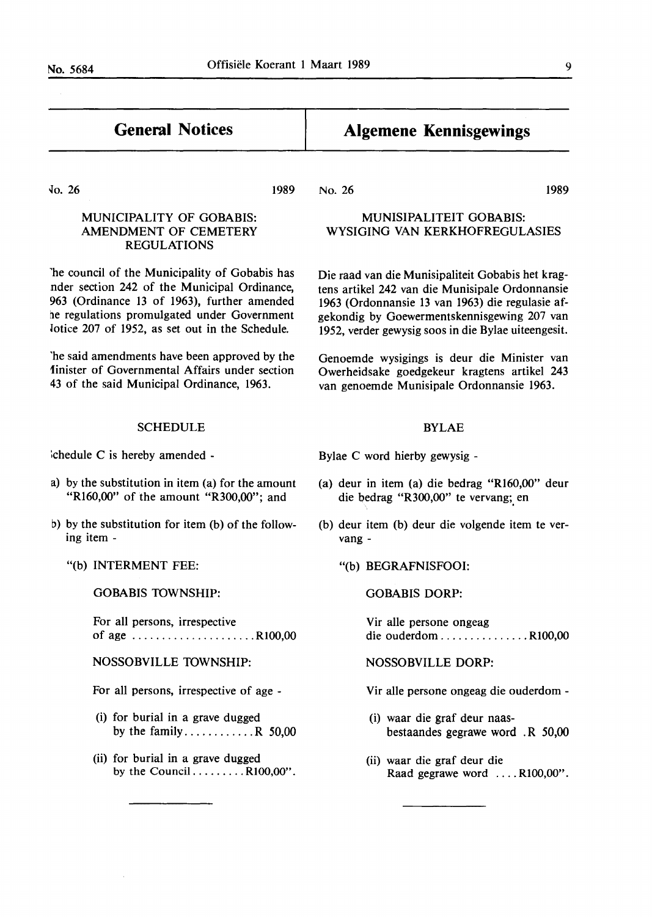$\sim$ 

| <b>General Notices</b>                                                                                                                                                                                                                          | <b>Algemene Kennisgewings</b>                                                                                                                                                                                                                                  |  |  |
|-------------------------------------------------------------------------------------------------------------------------------------------------------------------------------------------------------------------------------------------------|----------------------------------------------------------------------------------------------------------------------------------------------------------------------------------------------------------------------------------------------------------------|--|--|
| $\sqrt{0}$ . 26<br>1989                                                                                                                                                                                                                         | No. 26<br>1989                                                                                                                                                                                                                                                 |  |  |
| MUNICIPALITY OF GOBABIS:<br>AMENDMENT OF CEMETERY<br><b>REGULATIONS</b>                                                                                                                                                                         | MUNISIPALITEIT GOBABIS:<br>WYSIGING VAN KERKHOFREGULASIES                                                                                                                                                                                                      |  |  |
| The council of the Municipality of Gobabis has<br>nder section 242 of the Municipal Ordinance,<br>963 (Ordinance 13 of 1963), further amended<br>he regulations promulgated under Government<br>lotice 207 of 1952, as set out in the Schedule. | Die raad van die Munisipaliteit Gobabis het krag-<br>tens artikel 242 van die Munisipale Ordonnansie<br>1963 (Ordonnansie 13 van 1963) die regulasie af-<br>gekondig by Goewermentskennisgewing 207 van<br>1952, verder gewysig soos in die Bylae uiteengesit. |  |  |
| The said amendments have been approved by the<br>Inister of Governmental Affairs under section<br>43 of the said Municipal Ordinance, 1963.                                                                                                     | Genoemde wysigings is deur die Minister van<br>Owerheidsake goedgekeur kragtens artikel 243<br>van genoemde Munisipale Ordonnansie 1963.                                                                                                                       |  |  |
| <b>SCHEDULE</b>                                                                                                                                                                                                                                 | <b>BYLAE</b>                                                                                                                                                                                                                                                   |  |  |
| chedule C is hereby amended -                                                                                                                                                                                                                   | Bylae C word hierby gewysig -                                                                                                                                                                                                                                  |  |  |
| a) by the substitution in item (a) for the amount<br>"R160,00" of the amount "R300,00"; and                                                                                                                                                     | (a) deur in item (a) die bedrag " $R160,00$ " deur<br>die bedrag "R300,00" te vervang; en                                                                                                                                                                      |  |  |
| b) by the substitution for item (b) of the follow-<br>ing item -                                                                                                                                                                                | (b) deur item (b) deur die volgende item te ver-<br>vang -                                                                                                                                                                                                     |  |  |
| "(b) INTERMENT FEE:                                                                                                                                                                                                                             | "(b) BEGRAFNISFOOI:                                                                                                                                                                                                                                            |  |  |
| <b>GOBABIS TOWNSHIP:</b>                                                                                                                                                                                                                        | <b>GOBABIS DORP:</b>                                                                                                                                                                                                                                           |  |  |
| For all persons, irrespective<br>of age $\ldots \ldots \ldots \ldots \ldots \ldots \ldots$ R100,00                                                                                                                                              | Vir alle persone ongeag<br>die ouderdom R100,00                                                                                                                                                                                                                |  |  |
| NOSSOBVILLE TOWNSHIP:                                                                                                                                                                                                                           | <b>NOSSOBVILLE DORP:</b>                                                                                                                                                                                                                                       |  |  |
| For all persons, irrespective of age -                                                                                                                                                                                                          | Vir alle persone ongeag die ouderdom -                                                                                                                                                                                                                         |  |  |
| (i) for burial in a grave dugged<br>by the family R 50,00                                                                                                                                                                                       | (i) waar die graf deur naas-<br>bestaandes gegrawe word. R 50,00                                                                                                                                                                                               |  |  |
| (ii) for burial in a grave dugged<br>by the CouncilR100,00".                                                                                                                                                                                    | (ii) waar die graf deur die<br>Raad gegrawe word R100,00".                                                                                                                                                                                                     |  |  |
|                                                                                                                                                                                                                                                 |                                                                                                                                                                                                                                                                |  |  |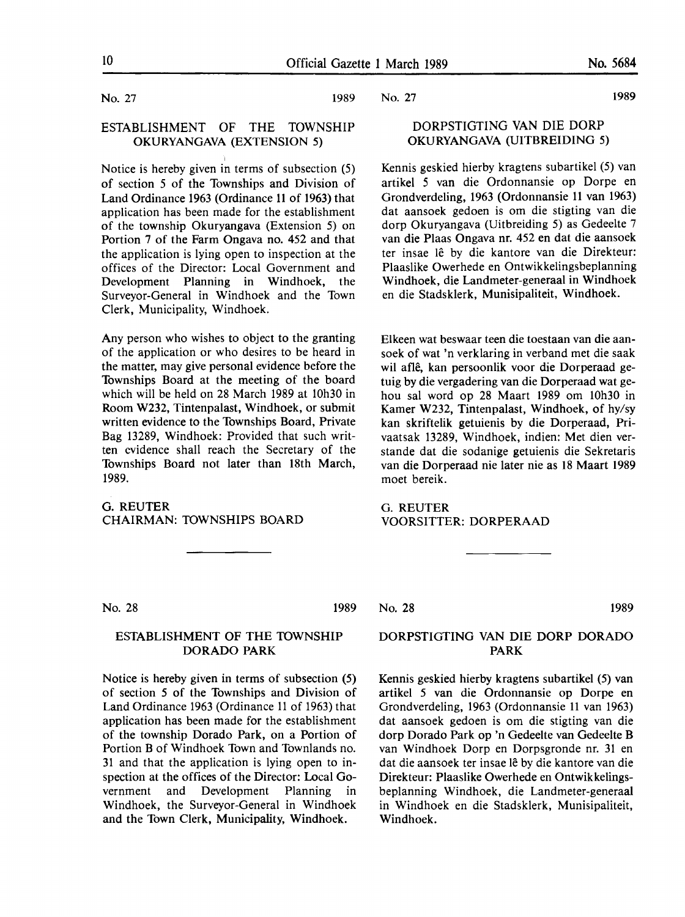No. 27 1989

#### ESTABLISHMENT OF THE TOWNSHIP OKURYANGAVA (EXTENSION 5)

Notice is hereby given in terms of subsection (5) of section *5* of the Townships and Division of Land Ordinance 1963 (Ordinance 11 of 1963) that application has been made for the establishment of the township Okuryangava (Extension 5) on Portion 7 of the Farm Ongava no. 452 and that the application is lying open to inspection at the offices of the Director: Local Government and Development Planning in Windhoek, the Surveyor-General in Windhoek and the Town Clerk, Municipality, Windhoek.

Any person who wishes to object to the granting of the application or who desires to be heard in the matter, may give personal evidence before the Townships Board at the meeting of the board which will be held on 28 March 1989 at 10h30 in Room W232, Tintenpalast, Windhoek, or submit written evidence to the Townships Board, Private Bag 13289, Windhoek: Provided that such written evidence shall reach the Secretary of the Townships Board not later than 18th March, 1989.

#### G.REUTER **CHAIRMAN: 10WNSHIPS BOARD**

No. 27

### DORPSTIGTING VAN DIE DORP OKURYANGAVA (UITBREIDING 5)

Kennis geskied hierby kragtens subartikel (5) van artikel *5* van die Ordonnansie op Dorpe en Grondverdeling, 1963 (Ordonnansie 11 van 1963) dat aansoek gedoen is om die stigting van die ciorp Okuryangava (Uitbreiding 5) as Gedeelte 7 van die Plaas Ongava nr. 452 en dat die aansoek ter insae lê by die kantore van die Direkteur: Plaaslike Owerhede en Ontwikkelingsbeplanning Windhoek, die Landmeter-generaal in Windhoek en die Stadsklerk, Munisipaliteit, Windhoek.

Elkeen wat beswaar teen die toestaan van die aansoek of wat 'n verklaring in verband met die saak wil afle, kan persoonlik voor die Dorperaad getuig by die vergadering van die Dorperaad wat gehou sal word op 28 Maart 1989 om 10h30 in Kamer W232, Tintenpalast, Windhoek, of hy/sy kan skriftelik getuienis by die Dorperaad, Privaatsak 13289, Windhoek, indien: Met dien verstande dat die sodanige getuienis die Sekretaris van die Dorperaad nie later nie as 18 Maart 1989 moet bereik.

G. REUTER **VOORSITTER: DORPERAAD** 

No. 28 1989

#### ESTABLISHMENT OF THE 10WNSHIP DORADO **PARK**

Notice is hereby given in terms of subsection (5) of section *5* of the Townships and Division of Land Ordinance 1963 (Ordinance 11 of 1963) that application has been made for the establishment of the township Dorado Park, on a Portion of Portion B of Windhoek Town and Townlands no. 31 and that the application is lying open to inspection at the offices of the Director: Local Government and Development Planning in Windhoek, the Surveyor-General in Windhoek and the Town Clerk, Municipality, Windhoek.

No. 28 1989

#### DORPSTIGTING VAN DIE DORP DORADO PARK

Kennis geskied hierby kragtens subartikel (5) van artikel *5* van die Ordonnansie op Dorpe en Grondverdeling, 1963 (Ordonnansie 11 van 1963) dat aansoek gedoen is om die stigting van die dorp Dorado Park op 'n Gedeelte van Gedeelte B van Windhoek Dorp en Dorpsgronde nr. 31 en dat die aansoek ter insae le by die kantore van die Direkteur: Plaaslike Owerhede en Ontwikkelingsbeplanning Windhoek, die Landmeter-generaal in Windhoek en die Stadsklerk, Munisipaliteit, Windhoek.

1989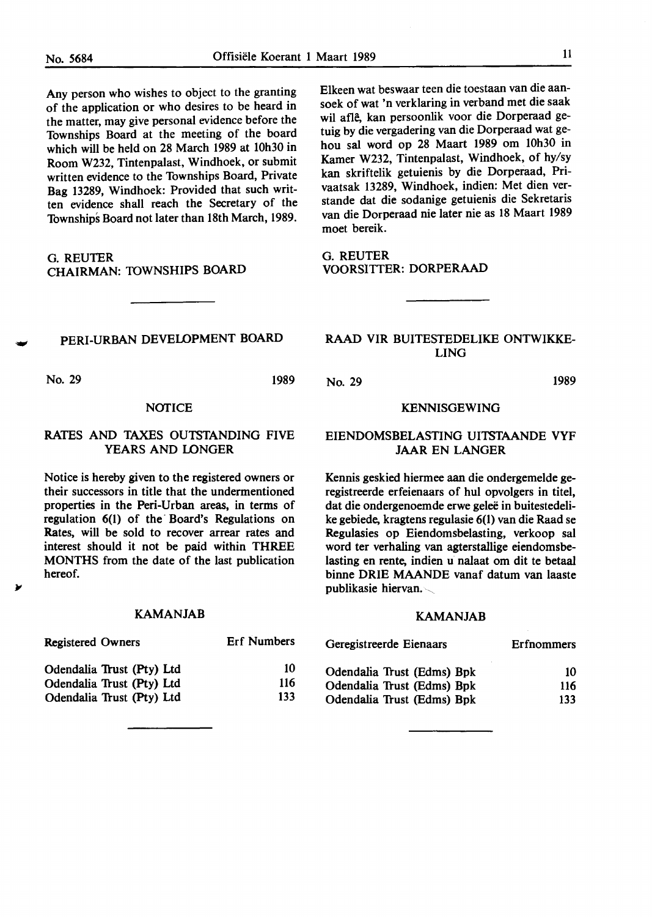Any person who wishes to object to the granting of the application or who desires to be heard **in**  the matter, may give personal evidence before the Townships Board at the meeting of the board which will be held on 28 March 1989 at 10h30 in Room W232, Tintenpalast, Windhoek, or submit written evidence to the Townships Board, Private Bag 13289, Windhoek: Provided that such written evidence shall reach the Secretary of the Townships Board not later than 18th March, 1989.

G.REUTER **CHAIRMAN:** TOWNSHIPS BOARD

PERI-URBAN DEVEIDPMENT BOARD

No. 29 1989

#### **NOTICE**

#### RATES AND TAXES OUTSTANDING FIVE YEARS AND LONGER

Notice is hereby given to the registered owners or their successors in title that the undermentioned properties in the Peri-Urban areas, in terms of regulation 6(1) of the Board's Regulations on Rates, will be sold to recover arrear rates and interest should it not be paid within THREE MONTHS from the date of the last publication hereof.

#### KAMANJAB

Elkeen wat beswaar teen die toestaan van die aansoek of wat 'n verklaring in verband met die saak wil afle, kan persoonlik voor die Dorperaad getuig by die vergadering van die Dorperaad wat gehou sal word op 28 Maart 1989 om 10h30 in Kamer W232, Tintenpalast, Windhoek, of hy/sy kan skriftelik getuienis by die Dorperaad, Privaatsak 13289, Windhoek, indien: Met dien verstande dat die sodanige getuienis die Sekretaris van die Dorperaad nie later nie as 18 Maart 1989 moet bereik.

G.REUTER VOORSITTER: DORPERAAD

### RAAD VIR BUITESTEDELIKE ONTWIKKE-LING

No. 29 1989

#### KENNISGEWING

#### EIENDOMSBELASTING UITSTAANDE VYF **JAAR** EN LANGER

Kennis geskied hiermee aan die ondergemelde geregistreerde erfeienaars of hul opvolgers in titel, dat die ondergenoemde erwe geleë in buitestedelike gebiede, kragtens regulasie 6(1) van die Raad se Regulasies op Eiendomsbelasting, verkoop sal word ter verhaling van agterstallige eiendomsbelasting en rente, indien u nalaat om dit te betaal binne ORIE MAANDE vanaf datum van laaste publikasie hiervan. $\sim$ 

#### KAMANJAB

| <b>Registered Owners</b>  | <b>Erf Numbers</b> | Geregistreerde Eienaars    | Erfnommers |
|---------------------------|--------------------|----------------------------|------------|
| Odendalia Trust (Pty) Ltd | 10                 | Odendalia Trust (Edms) Bpk | 10         |
| Odendalia Trust (Pty) Ltd | 116                | Odendalia Trust (Edms) Bpk | 116        |
| Odendalia Trust (Pty) Ltd | 133                | Odendalia Trust (Edms) Bpk | 133        |